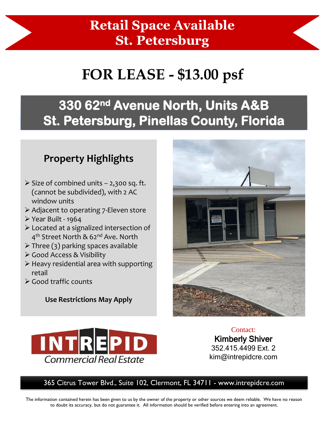## **Retail Space Available St. Petersburg**

# **FOR LEASE - \$13.00 psf**

# **330 62nd Avenue North, Units A&B St. Petersburg, Pinellas County, Florida**

#### **Property Highlights**

- $\triangleright$  Size of combined units 2,300 sq. ft. (cannot be subdivided), with 2 AC window units
- ➢ Adjacent to operating 7-Eleven store
- $\triangleright$  Year Built 1964
- ➢ Located at a signalized intersection of 4<sup>th</sup> Street North & 62<sup>nd</sup> Ave. North
- $\triangleright$  Three (3) parking spaces available
- ➢ Good Access & Visibility
- ➢ Heavy residential area with supporting retail
- ➢ Good traffic counts

**Use Restrictions May Apply**



Contact: Kimberly Shiver 352.415.4499 Ext. 2 kim@intrepidcre.com

365 Citrus Tower Blvd., Suite 102, Clermont, FL 34711 - www.intrepidcre.com

The information contained herein has been given to us by the owner of the property or other sources we deem reliable. We have no reason to doubt its accuracy, but do not guarantee it. All information should be verified before entering into an agreement.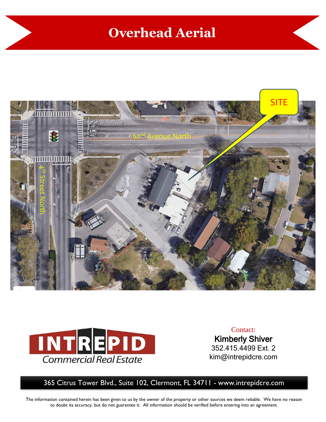## **Overhead Aerial**





Contact: Kimberly Shiver 352.415.4499 Ext. 2 kim@intrepidcre.com

365 Citrus Tower Blvd., Suite 102, Clermont, FL 34711 - www.intrepidcre.com

The information contained herein has been given to us by the owner of the property or other sources we deem reliable. We have no reason to doubt its accuracy, but do not guarantee it. All information should be verified before entering into an agreement.